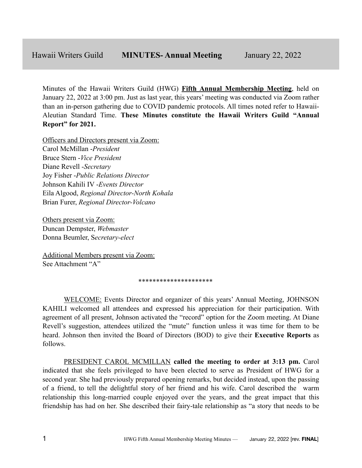Minutes of the Hawaii Writers Guild (HWG) **Fifth Annual Membership Meeting**, held on January 22, 2022 at 3:00 pm. Just as last year, this years' meeting was conducted via Zoom rather than an in-person gathering due to COVID pandemic protocols. All times noted refer to Hawaii-Aleutian Standard Time. **These Minutes constitute the Hawaii Writers Guild "Annual Report" for 2021.**

Officers and Directors present via Zoom: Carol McMillan -*President* Bruce Stern -*Vice President* Diane Revell -*Secretary* Joy Fisher -*Public Relations Director* Johnson Kahili IV -*Events Director* Eila Algood, *Regional Director-North Kohala* Brian Furer, *Regional Director-Volcano*

Others present via Zoom: Duncan Dempster, *Webmaster* Donna Beumler, S*ecretary-elect*

Additional Members present via Zoom: See Attachment "A"

#### \*\*\*\*\*\*\*\*\*\*\*\*\*\*\*\*\*\*\*\*\*

WELCOME: Events Director and organizer of this years' Annual Meeting, JOHNSON KAHILI welcomed all attendees and expressed his appreciation for their participation. With agreement of all present, Johnson activated the "record" option for the Zoom meeting. At Diane Revell's suggestion, attendees utilized the "mute" function unless it was time for them to be heard. Johnson then invited the Board of Directors (BOD) to give their **Executive Reports** as follows.

PRESIDENT CAROL MCMILLAN **called the meeting to order at 3:13 pm.** Carol indicated that she feels privileged to have been elected to serve as President of HWG for a second year. She had previously prepared opening remarks, but decided instead, upon the passing of a friend, to tell the delightful story of her friend and his wife. Carol described the warm relationship this long-married couple enjoyed over the years, and the great impact that this friendship has had on her. She described their fairy-tale relationship as "a story that needs to be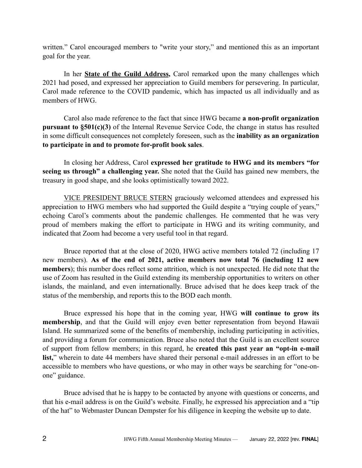written." Carol encouraged members to "write your story," and mentioned this as an important goal for the year.

In her **State of the Guild Address,** Carol remarked upon the many challenges which 2021 had posed, and expressed her appreciation to Guild members for persevering. In particular, Carol made reference to the COVID pandemic, which has impacted us all individually and as members of HWG.

Carol also made reference to the fact that since HWG became **a non-profit organization pursuant to §501(c)(3)** of the Internal Revenue Service Code, the change in status has resulted in some difficult consequences not completely foreseen, such as the **inability as an organization to participate in and to promote for-profit book sales**.

In closing her Address, Carol **expressed her gratitude to HWG and its members "for seeing us through" a challenging year.** She noted that the Guild has gained new members, the treasury in good shape, and she looks optimistically toward 2022.

VICE PRESIDENT BRUCE STERN graciously welcomed attendees and expressed his appreciation to HWG members who had supported the Guild despite a "trying couple of years," echoing Carol's comments about the pandemic challenges. He commented that he was very proud of members making the effort to participate in HWG and its writing community, and indicated that Zoom had become a very useful tool in that regard.

Bruce reported that at the close of 2020, HWG active members totaled 72 (including 17 new members). **As of the end of 2021, active members now total 76 (including 12 new members**); this number does reflect some attrition, which is not unexpected. He did note that the use of Zoom has resulted in the Guild extending its membership opportunities to writers on other islands, the mainland, and even internationally. Bruce advised that he does keep track of the status of the membership, and reports this to the BOD each month.

Bruce expressed his hope that in the coming year, HWG **will continue to grow its membership**, and that the Guild will enjoy even better representation from beyond Hawaii Island. He summarized some of the benefits of membership, including participating in activities, and providing a forum for communication. Bruce also noted that the Guild is an excellent source of support from fellow members; in this regard, he **created this past year an "opt-in e-mail list,**" wherein to date 44 members have shared their personal e-mail addresses in an effort to be accessible to members who have questions, or who may in other ways be searching for "one-onone" guidance.

Bruce advised that he is happy to be contacted by anyone with questions or concerns, and that his e-mail address is on the Guild's website. Finally, he expressed his appreciation and a "tip of the hat" to Webmaster Duncan Dempster for his diligence in keeping the website up to date.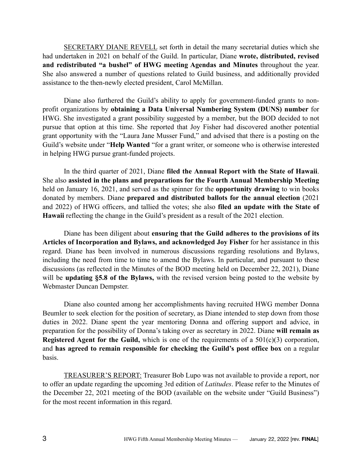SECRETARY DIANE REVELL set forth in detail the many secretarial duties which she had undertaken in 2021 on behalf of the Guild. In particular, Diane **wrote, distributed, revised and redistributed "a bushel" of HWG meeting Agendas and Minutes** throughout the year. She also answered a number of questions related to Guild business, and additionally provided assistance to the then-newly elected president, Carol McMillan.

Diane also furthered the Guild's ability to apply for government-funded grants to nonprofit organizations by **obtaining a Data Universal Numbering System (DUNS) number** for HWG. She investigated a grant possibility suggested by a member, but the BOD decided to not pursue that option at this time. She reported that Joy Fisher had discovered another potential grant opportunity with the "Laura Jane Musser Fund," and advised that there is a posting on the Guild's website under "**Help Wanted** "for a grant writer, or someone who is otherwise interested in helping HWG pursue grant-funded projects.

In the third quarter of 2021, Diane **filed the Annual Report with the State of Hawaii**. She also **assisted in the plans and preparations for the Fourth Annual Membership Meeting** held on January 16, 2021, and served as the spinner for the **opportunity drawing** to win books donated by members. Diane **prepared and distributed ballots for the annual election** (2021 and 2022) of HWG officers, and tallied the votes; she also **filed an update with the State of Hawaii** reflecting the change in the Guild's president as a result of the 2021 election.

Diane has been diligent about **ensuring that the Guild adheres to the provisions of its Articles of Incorporation and Bylaws, and acknowledged Joy Fisher** for her assistance in this regard. Diane has been involved in numerous discussions regarding resolutions and Bylaws, including the need from time to time to amend the Bylaws. In particular, and pursuant to these discussions (as reflected in the Minutes of the BOD meeting held on December 22, 2021), Diane will be **updating §5.8 of the Bylaws,** with the revised version being posted to the website by Webmaster Duncan Dempster.

Diane also counted among her accomplishments having recruited HWG member Donna Beumler to seek election for the position of secretary, as Diane intended to step down from those duties in 2022. Diane spent the year mentoring Donna and offering support and advice, in preparation for the possibility of Donna's taking over as secretary in 2022. Diane **will remain as Registered Agent for the Guild,** which is one of the requirements of a 501(c)(3) corporation, and **has agreed to remain responsible for checking the Guild's post office box** on a regular basis.

TREASURER'S REPORT: Treasurer Bob Lupo was not available to provide a report, nor to offer an update regarding the upcoming 3rd edition of *Latitudes*. Please refer to the Minutes of the December 22, 2021 meeting of the BOD (available on the website under "Guild Business") for the most recent information in this regard.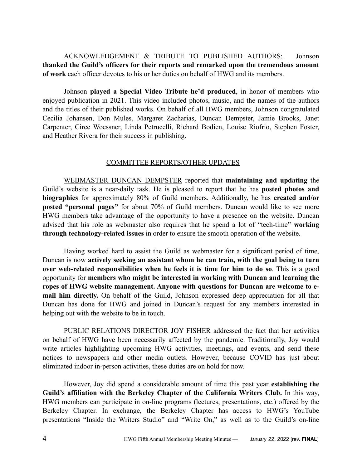ACKNOWLEDGEMENT & TRIBUTE TO PUBLISHED AUTHORS: Johnson **thanked the Guild's officers for their reports and remarked upon the tremendous amount of work** each officer devotes to his or her duties on behalf of HWG and its members.

Johnson **played a Special Video Tribute he'd produced**, in honor of members who enjoyed publication in 2021. This video included photos, music, and the names of the authors and the titles of their published works. On behalf of all HWG members, Johnson congratulated Cecilia Johansen, Don Mules, Margaret Zacharias, Duncan Dempster, Jamie Brooks, Janet Carpenter, Circe Woessner, Linda Petrucelli, Richard Bodien, Louise Riofrio, Stephen Foster, and Heather Rivera for their success in publishing.

# COMMITTEE REPORTS/OTHER UPDATES

WEBMASTER DUNCAN DEMPSTER reported that **maintaining and updating** the Guild's website is a near-daily task. He is pleased to report that he has **posted photos and biographies** for approximately 80% of Guild members. Additionally, he has **created and/or posted "personal pages"** for about 70% of Guild members. Duncan would like to see more HWG members take advantage of the opportunity to have a presence on the website. Duncan advised that his role as webmaster also requires that he spend a lot of "tech-time" **working through technology-related issues** in order to ensure the smooth operation of the website.

Having worked hard to assist the Guild as webmaster for a significant period of time, Duncan is now **actively seeking an assistant whom he can train, with the goal being to turn over web-related responsibilities when he feels it is time for him to do so**. This is a good opportunity for **members who might be interested in working with Duncan and learning the ropes of HWG website management. Anyone with questions for Duncan are welcome to email him directly.** On behalf of the Guild, Johnson expressed deep appreciation for all that Duncan has done for HWG and joined in Duncan's request for any members interested in helping out with the website to be in touch.

PUBLIC RELATIONS DIRECTOR JOY FISHER addressed the fact that her activities on behalf of HWG have been necessarily affected by the pandemic. Traditionally, Joy would write articles highlighting upcoming HWG activities, meetings, and events, and send these notices to newspapers and other media outlets. However, because COVID has just about eliminated indoor in-person activities, these duties are on hold for now.

However, Joy did spend a considerable amount of time this past year **establishing the Guild's affiliation with the Berkeley Chapter of the California Writers Club.** In this way, HWG members can participate in on-line programs (lectures, presentations, etc.) offered by the Berkeley Chapter. In exchange, the Berkeley Chapter has access to HWG's YouTube presentations "Inside the Writers Studio" and "Write On," as well as to the Guild's on-line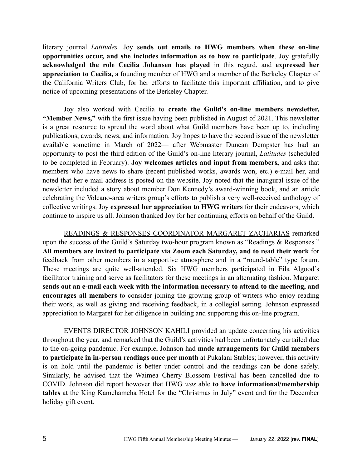literary journal *Latitudes.* Joy **sends out emails to HWG members when these on-line opportunities occur, and she includes information as to how to participate**. Joy gratefully **acknowledged the role Cecilia Johansen has played** in this regard, and **expressed her appreciation to Cecilia,** a founding member of HWG and a member of the Berkeley Chapter of the California Writers Club, for her efforts to facilitate this important affiliation, and to give notice of upcoming presentations of the Berkeley Chapter.

Joy also worked with Cecilia to **create the Guild's on-line members newsletter, "Member News,"** with the first issue having been published in August of 2021. This newsletter is a great resource to spread the word about what Guild members have been up to, including publications, awards, news, and information. Joy hopes to have the second issue of the newsletter available sometime in March of 2022— after Webmaster Duncan Dempster has had an opportunity to post the third edition of the Guild's on-line literary journal, *Latitudes* (scheduled to be completed in February). **Joy welcomes articles and input from members,** and asks that members who have news to share (recent published works, awards won, etc.) e-mail her, and noted that her e-mail address is posted on the website. Joy noted that the inaugural issue of the newsletter included a story about member Don Kennedy's award-winning book, and an article celebrating the Volcano-area writers group's efforts to publish a very well-received anthology of collective writings. Joy **expressed her appreciation to HWG writers** for their endeavors, which continue to inspire us all. Johnson thanked Joy for her continuing efforts on behalf of the Guild.

READINGS & RESPONSES COORDINATOR MARGARET ZACHARIAS remarked upon the success of the Guild's Saturday two-hour program known as "Readings & Responses." **All members are invited to participate via Zoom each Saturday, and to read their work** for feedback from other members in a supportive atmosphere and in a "round-table" type forum. These meetings are quite well-attended. Six HWG members participated in Eila Algood's facilitator training and serve as facilitators for these meetings in an alternating fashion. Margaret **sends out an e-mail each week with the information necessary to attend to the meeting, and encourages all members** to consider joining the growing group of writers who enjoy reading their work, as well as giving and receiving feedback, in a collegial setting. Johnson expressed appreciation to Margaret for her diligence in building and supporting this on-line program.

EVENTS DIRECTOR JOHNSON KAHILI provided an update concerning his activities throughout the year, and remarked that the Guild's activities had been unfortunately curtailed due to the on-going pandemic. For example, Johnson had **made arrangements for Guild members to participate in in-person readings once per month** at Pukalani Stables; however, this activity is on hold until the pandemic is better under control and the readings can be done safely. Similarly, he advised that the Waimea Cherry Blossom Festival has been cancelled due to COVID. Johnson did report however that HWG *was* able **to have informational/membership tables** at the King Kamehameha Hotel for the "Christmas in July" event and for the December holiday gift event.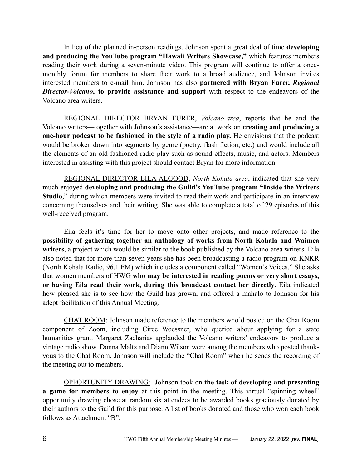In lieu of the planned in-person readings. Johnson spent a great deal of time **developing and producing the YouTube program "Hawaii Writers Showcase,"** which features members reading their work during a seven-minute video. This program will continue to offer a oncemonthly forum for members to share their work to a broad audience, and Johnson invites interested members to e-mail him. Johnson has also **partnered with Bryan Furer,** *Regional Director-Volcano***, to provide assistance and support** with respect to the endeavors of the Volcano area writers.

REGIONAL DIRECTOR BRYAN FURER, *Volcano-area*, reports that he and the Volcano writers—together with Johnson's assistance—are at work on **creating and producing a one-hour podcast to be fashioned in the style of a radio play.** He envisions that the podcast would be broken down into segments by genre (poetry, flash fiction, etc.) and would include all the elements of an old-fashioned radio play such as sound effects, music, and actors. Members interested in assisting with this project should contact Bryan for more information.

REGIONAL DIRECTOR EILA ALGOOD, *North Kohala-area*, indicated that she very much enjoyed **developing and producing the Guild's YouTube program "Inside the Writers Studio**," during which members were invited to read their work and participate in an interview concerning themselves and their writing. She was able to complete a total of 29 episodes of this well-received program.

Eila feels it's time for her to move onto other projects, and made reference to the **possibility of gathering together an anthology of works from North Kohala and Waimea writers**, a project which would be similar to the book published by the Volcano-area writers. Eila also noted that for more than seven years she has been broadcasting a radio program on KNKR (North Kohala Radio, 96.1 FM) which includes a component called "Women's Voices." She asks that women members of HWG **who may be interested in reading poems or very short essays, or having Eila read their work, during this broadcast contact her directly**. Eila indicated how pleased she is to see how the Guild has grown, and offered a mahalo to Johnson for his adept facilitation of this Annual Meeting.

CHAT ROOM: Johnson made reference to the members who'd posted on the Chat Room component of Zoom, including Circe Woessner, who queried about applying for a state humanities grant. Margaret Zacharias applauded the Volcano writers' endeavors to produce a vintage radio show. Donna Maltz and Diann Wilson were among the members who posted thankyous to the Chat Room. Johnson will include the "Chat Room" when he sends the recording of the meeting out to members.

OPPORTUNITY DRAWING: Johnson took on **the task of developing and presenting a game for members to enjoy** at this point in the meeting. This virtual "spinning wheel" opportunity drawing chose at random six attendees to be awarded books graciously donated by their authors to the Guild for this purpose. A list of books donated and those who won each book follows as Attachment "B".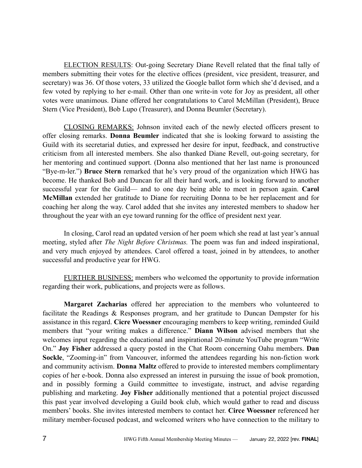ELECTION RESULTS: Out-going Secretary Diane Revell related that the final tally of members submitting their votes for the elective offices (president, vice president, treasurer, and secretary) was 36. Of those voters, 33 utilized the Google ballot form which she'd devised, and a few voted by replying to her e-mail. Other than one write-in vote for Joy as president, all other votes were unanimous. Diane offered her congratulations to Carol McMillan (President), Bruce Stern (Vice President), Bob Lupo (Treasurer), and Donna Beumler (Secretary).

CLOSING REMARKS: Johnson invited each of the newly elected officers present to offer closing remarks. **Donna Beumler** indicated that she is looking forward to assisting the Guild with its secretarial duties, and expressed her desire for input, feedback, and constructive criticism from all interested members. She also thanked Diane Revell, out-going secretary, for her mentoring and continued support. (Donna also mentioned that her last name is pronounced "Bye-m-ler.") **Bruce Stern** remarked that he's very proud of the organization which HWG has become. He thanked Bob and Duncan for all their hard work, and is looking forward to another successful year for the Guild— and to one day being able to meet in person again. **Carol McMillan** extended her gratitude to Diane for recruiting Donna to be her replacement and for coaching her along the way. Carol added that she invites any interested members to shadow her throughout the year with an eye toward running for the office of president next year.

In closing, Carol read an updated version of her poem which she read at last year's annual meeting, styled after *The Night Before Christmas.* The poem was fun and indeed inspirational, and very much enjoyed by attendees. Carol offered a toast, joined in by attendees, to another successful and productive year for HWG.

FURTHER BUSINESS: members who welcomed the opportunity to provide information regarding their work, publications, and projects were as follows.

**Margaret Zacharias** offered her appreciation to the members who volunteered to facilitate the Readings & Responses program, and her gratitude to Duncan Dempster for his assistance in this regard. **Cicre Woessner** encouraging members to keep writing, reminded Guild members that "your writing makes a difference." **Diann Wilson** advised members that she welcomes input regarding the educational and inspirational 20-minute YouTube program "Write On." **Joy Fisher** addressed a query posted in the Chat Room concerning Oahu members. **Dan Sockle**, "Zooming-in" from Vancouver, informed the attendees regarding his non-fiction work and community activism. **Donna Maltz** offered to provide to interested members complimentary copies of her e-book. Donna also expressed an interest in pursuing the issue of book promotion, and in possibly forming a Guild committee to investigate, instruct, and advise regarding publishing and marketing. **Joy Fisher** additionally mentioned that a potential project discussed this past year involved developing a Guild book club, which would gather to read and discuss members' books. She invites interested members to contact her. **Circe Woessner** referenced her military member-focused podcast, and welcomed writers who have connection to the military to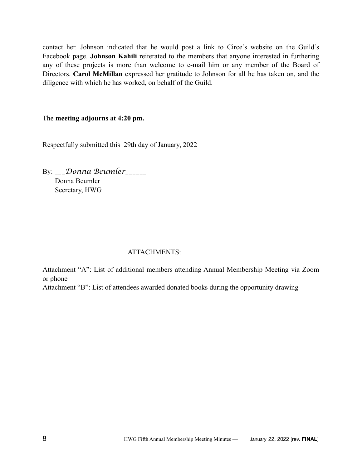contact her. Johnson indicated that he would post a link to Circe's website on the Guild's Facebook page. **Johnson Kahili** reiterated to the members that anyone interested in furthering any of these projects is more than welcome to e-mail him or any member of the Board of Directors. **Carol McMillan** expressed her gratitude to Johnson for all he has taken on, and the diligence with which he has worked, on behalf of the Guild.

# The **meeting adjourns at 4:20 pm.**

Respectfully submitted this 29th day of January, 2022

By: *\_\_\_Donna Beumler\_\_\_\_\_\_* Donna Beumler Secretary, HWG

# ATTACHMENTS:

Attachment "A": List of additional members attending Annual Membership Meeting via Zoom or phone

Attachment "B": List of attendees awarded donated books during the opportunity drawing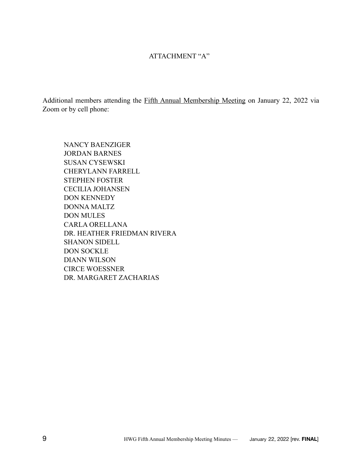# ATTACHMENT "A"

Additional members attending the Fifth Annual Membership Meeting on January 22, 2022 via Zoom or by cell phone:

NANCY BAENZIGER JORDAN BARNES SUSAN CYSEWSKI CHERYLANN FARRELL STEPHEN FOSTER CECILIA JOHANSEN DON KENNEDY DONNA MALTZ DON MULES CARLA ORELLANA DR. HEATHER FRIEDMAN RIVERA SHANON SIDELL DON SOCKLE DIANN WILSON CIRCE WOESSNER DR. MARGARET ZACHARIAS